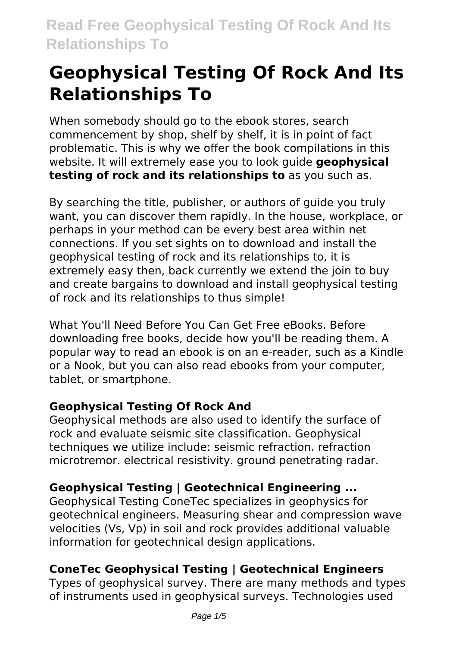When somebody should go to the ebook stores, search commencement by shop, shelf by shelf, it is in point of fact problematic. This is why we offer the book compilations in this website. It will extremely ease you to look guide **geophysical testing of rock and its relationships to** as you such as.

By searching the title, publisher, or authors of guide you truly want, you can discover them rapidly. In the house, workplace, or perhaps in your method can be every best area within net connections. If you set sights on to download and install the geophysical testing of rock and its relationships to, it is extremely easy then, back currently we extend the join to buy and create bargains to download and install geophysical testing of rock and its relationships to thus simple!

What You'll Need Before You Can Get Free eBooks. Before downloading free books, decide how you'll be reading them. A popular way to read an ebook is on an e-reader, such as a Kindle or a Nook, but you can also read ebooks from your computer, tablet, or smartphone.

# **Geophysical Testing Of Rock And**

Geophysical methods are also used to identify the surface of rock and evaluate seismic site classification. Geophysical techniques we utilize include: seismic refraction. refraction microtremor. electrical resistivity. ground penetrating radar.

# **Geophysical Testing | Geotechnical Engineering ...**

Geophysical Testing ConeTec specializes in geophysics for geotechnical engineers. Measuring shear and compression wave velocities (Vs, Vp) in soil and rock provides additional valuable information for geotechnical design applications.

# **ConeTec Geophysical Testing | Geotechnical Engineers**

Types of geophysical survey. There are many methods and types of instruments used in geophysical surveys. Technologies used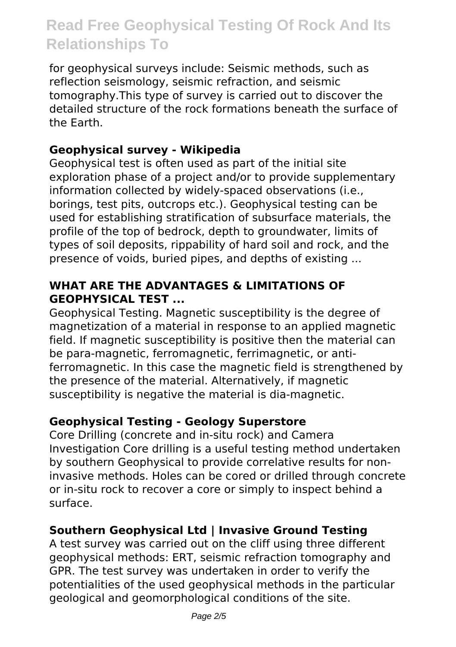for geophysical surveys include: Seismic methods, such as reflection seismology, seismic refraction, and seismic tomography.This type of survey is carried out to discover the detailed structure of the rock formations beneath the surface of the Earth.

### **Geophysical survey - Wikipedia**

Geophysical test is often used as part of the initial site exploration phase of a project and/or to provide supplementary information collected by widely-spaced observations (i.e., borings, test pits, outcrops etc.). Geophysical testing can be used for establishing stratification of subsurface materials, the profile of the top of bedrock, depth to groundwater, limits of types of soil deposits, rippability of hard soil and rock, and the presence of voids, buried pipes, and depths of existing ...

#### **WHAT ARE THE ADVANTAGES & LIMITATIONS OF GEOPHYSICAL TEST ...**

Geophysical Testing. Magnetic susceptibility is the degree of magnetization of a material in response to an applied magnetic field. If magnetic susceptibility is positive then the material can be para-magnetic, ferromagnetic, ferrimagnetic, or antiferromagnetic. In this case the magnetic field is strengthened by the presence of the material. Alternatively, if magnetic susceptibility is negative the material is dia-magnetic.

# **Geophysical Testing - Geology Superstore**

Core Drilling (concrete and in-situ rock) and Camera Investigation Core drilling is a useful testing method undertaken by southern Geophysical to provide correlative results for noninvasive methods. Holes can be cored or drilled through concrete or in-situ rock to recover a core or simply to inspect behind a surface.

# **Southern Geophysical Ltd | Invasive Ground Testing**

A test survey was carried out on the cliff using three different geophysical methods: ERT, seismic refraction tomography and GPR. The test survey was undertaken in order to verify the potentialities of the used geophysical methods in the particular geological and geomorphological conditions of the site.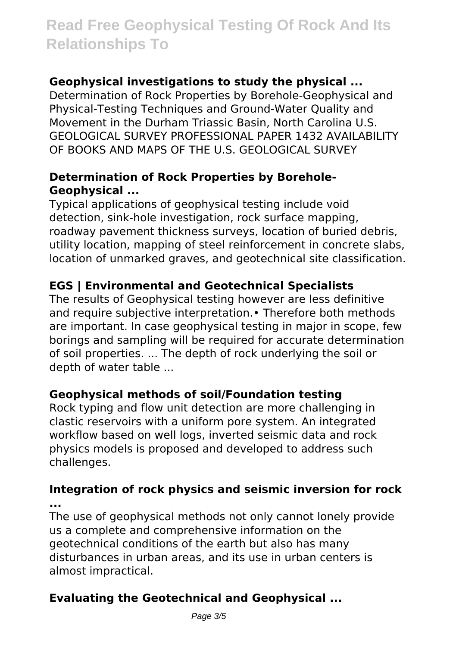# **Geophysical investigations to study the physical ...**

Determination of Rock Properties by Borehole-Geophysical and Physical-Testing Techniques and Ground-Water Quality and Movement in the Durham Triassic Basin, North Carolina U.S. GEOLOGICAL SURVEY PROFESSIONAL PAPER 1432 AVAILABILITY OF BOOKS AND MAPS OF THE U.S. GEOLOGICAL SURVEY

### **Determination of Rock Properties by Borehole-Geophysical ...**

Typical applications of geophysical testing include void detection, sink-hole investigation, rock surface mapping, roadway pavement thickness surveys, location of buried debris, utility location, mapping of steel reinforcement in concrete slabs, location of unmarked graves, and geotechnical site classification.

# **EGS | Environmental and Geotechnical Specialists**

The results of Geophysical testing however are less definitive and require subjective interpretation.• Therefore both methods are important. In case geophysical testing in major in scope, few borings and sampling will be required for accurate determination of soil properties. ... The depth of rock underlying the soil or depth of water table ...

# **Geophysical methods of soil/Foundation testing**

Rock typing and flow unit detection are more challenging in clastic reservoirs with a uniform pore system. An integrated workflow based on well logs, inverted seismic data and rock physics models is proposed and developed to address such challenges.

**Integration of rock physics and seismic inversion for rock ...**

The use of geophysical methods not only cannot lonely provide us a complete and comprehensive information on the geotechnical conditions of the earth but also has many disturbances in urban areas, and its use in urban centers is almost impractical.

# **Evaluating the Geotechnical and Geophysical ...**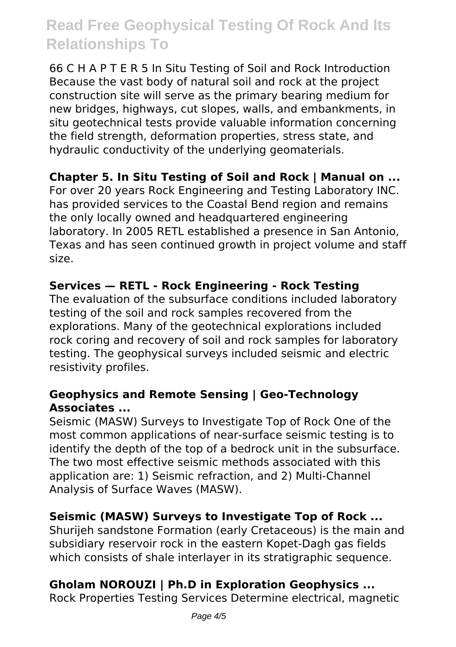66 C H A P T E R 5 In Situ Testing of Soil and Rock Introduction Because the vast body of natural soil and rock at the project construction site will serve as the primary bearing medium for new bridges, highways, cut slopes, walls, and embankments, in situ geotechnical tests provide valuable information concerning the field strength, deformation properties, stress state, and hydraulic conductivity of the underlying geomaterials.

# **Chapter 5. In Situ Testing of Soil and Rock | Manual on ...**

For over 20 years Rock Engineering and Testing Laboratory INC. has provided services to the Coastal Bend region and remains the only locally owned and headquartered engineering laboratory. In 2005 RETL established a presence in San Antonio, Texas and has seen continued growth in project volume and staff size.

#### **Services — RETL - Rock Engineering - Rock Testing**

The evaluation of the subsurface conditions included laboratory testing of the soil and rock samples recovered from the explorations. Many of the geotechnical explorations included rock coring and recovery of soil and rock samples for laboratory testing. The geophysical surveys included seismic and electric resistivity profiles.

#### **Geophysics and Remote Sensing | Geo-Technology Associates ...**

Seismic (MASW) Surveys to Investigate Top of Rock One of the most common applications of near-surface seismic testing is to identify the depth of the top of a bedrock unit in the subsurface. The two most effective seismic methods associated with this application are: 1) Seismic refraction, and 2) Multi-Channel Analysis of Surface Waves (MASW).

#### **Seismic (MASW) Surveys to Investigate Top of Rock ...**

Shurijeh sandstone Formation (early Cretaceous) is the main and subsidiary reservoir rock in the eastern Kopet-Dagh gas fields which consists of shale interlayer in its stratigraphic sequence.

# **Gholam NOROUZI | Ph.D in Exploration Geophysics ...**

Rock Properties Testing Services Determine electrical, magnetic